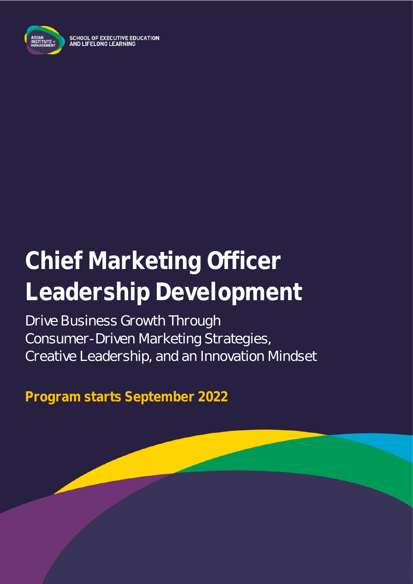

SCHOOL OF EXECUTIVE EDUCATION<br>AND LIFELONG LEARNING

# **Chief Marketing Officer Leadership Development**

Drive Business Growth Through Consumer-Driven Marketing Strategies, Creative Leadership, and an Innovation Mindset

**Program starts September 2022**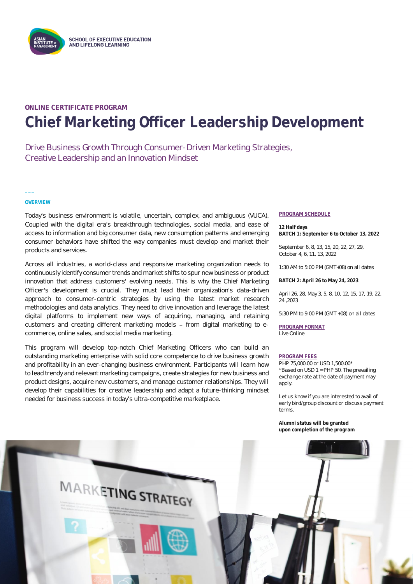

### **ONLINE CERTIFICATE PROGRAM Chief Marketing Officer Leadership Development**

Drive Business Growth Through Consumer-Driven Marketing Strategies, Creative Leadership and an Innovation Mindset

**OVERVIEW**

**\_\_\_**

Today's business environment is volatile, uncertain, complex, and ambiguous (VUCA). Coupled with the digital era's breakthrough technologies, social media, and ease of access to information and big consumer data, new consumption patterns and emerging consumer behaviors have shifted the way companies must develop and market their products and services.

Across all industries, a world-class and responsive marketing organization needs to continuously identify consumer trends and market shifts to spur new business or product innovation that address customers' evolving needs. This is why the Chief Marketing Officer's development is crucial. They must lead their organization's data-driven approach to consumer-centric strategies by using the latest market research methodologies and data analytics. They need to drive innovation and leverage the latest digital platforms to implement new ways of acquiring, managing, and retaining customers and creating different marketing models - from digital marketing to ecommerce, online sales, and social media marketing.

This program will develop top-notch Chief Marketing Officers who can build an outstanding marketing enterprise with solid core competence to drive business growth and profitability in an ever-changing business environment. Participants will learn how to lead trendy and relevant marketing campaigns, create strategies for new business and product designs, acquire new customers, and manage customer relationships. They will develop their capabilities for creative leadership and adapt a future-thinking mindset needed for business success in today's ultra-competitive marketplace.

#### **PROGRAM SCHEDULE**

**12 Half days BATCH 1: September 6 to October 13, 2022**

September 6, 8, 13, 15, 20, 22, 27, 29, October 4, 6, 11, 13, 2022

1:30 AM to 5:00 PM (GMT+08) on all dates

**BATCH 2: April 26 to May 24, 2023**

April 26, 28, May 3, 5, 8, 10, 12, 15, 17, 19, 22, 24 ,2023

5:30 PM to 9:00 PM (GMT +08) on all dates

**PROGRAM FORMAT** Live Online

#### **PROGRAM FEES**

PHP 75,000.00 or USD 1,500.00\* \*Based on USD 1 = PHP 50. The prevailing exchange rate at the date of payment may apply.

Let us know if you are interested to avail of early bird/group discount or discuss payment terms.

**Alumni status will be granted upon completion of the program**

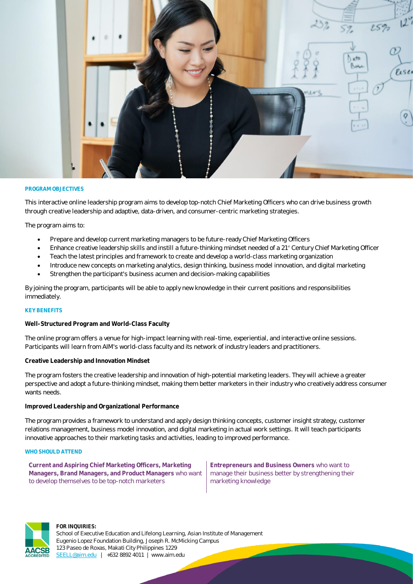

#### **PROGRAM OBJECTIVES**

This interactive online leadership program aims to develop top-notch Chief Marketing Officers who can drive business growth through creative leadership and adaptive, data-driven, and consumer-centric marketing strategies.

The program aims to:

- Prepare and develop current marketing managers to be future-ready Chief Marketing Officers
- Enhance creative leadership skills and instill a future-thinking mindset needed of a 21<sup>®</sup> Century Chief Marketing Officer
- Teach the latest principles and framework to create and develop a world-class marketing organization
- Introduce new concepts on marketing analytics, design thinking, business model innovation, and digital marketing
- Strengthen the participant's business acumen and decision-making capabilities

By joining the program, participants will be able to apply new knowledge in their current positions and responsibilities immediately.

#### **KEY BENEFITS**

**Well-Structured Program and World-Class Faculty**

The online program offers a venue for high-impact learning with real-time, experiential, and interactive online sessions. Participants will learn from AIM's world-class faculty and its network of industry leaders and practitioners.

**Creative Leadership and Innovation Mindset**

The program fosters the creative leadership and innovation of high-potential marketing leaders. They will achieve a greater perspective and adopt a future-thinking mindset, making them better marketers in their industry who creatively address consumer wants needs.

#### **Improved Leadership and Organizational Performance**

The program provides a framework to understand and apply design thinking concepts, customer insight strategy, customer relations management, business model innovation, and digital marketing in actual work settings. It will teach participants innovative approaches to their marketing tasks and activities, leading to improved performance.

#### **WHO SHOULD ATTEND**

**Current and Aspiring Chief Marketing Officers, Marketing Managers, Brand Managers, and Product Managers** who want to develop themselves to be top-notch marketers

**Entrepreneurs and Business Owners** who want to manage their business better by strengthening their marketing knowledge



#### **FOR INQUIRIES:**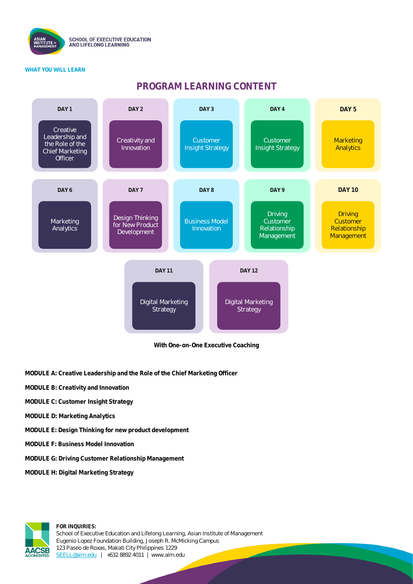

#### **WHAT YOU WILL LEARN**

### **PROGRAM LEARNING CONTENT**



**With One-on-One Executive Coaching**

- **MODULE A: Creative Leadership and the Role of the Chief Marketing Officer**
- **MODULE B: Creativity and Innovation**
- **MODULE C: Customer Insight Strategy**
- **MODULE D: Marketing Analytics**
- **MODULE E: Design Thinking for new product development**
- **MODULE F: Business Model Innovation**
- **MODULE G: Driving Customer Relationship Management**
- **MODULE H: Digital Marketing Strategy**

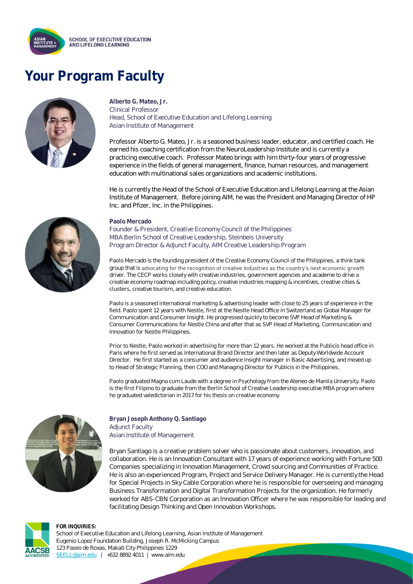

## **Your Program Faculty**



**Alberto G. Mateo, Jr.** Clinical Professor Head, School of Executive Education and Lifelong Learning Asian Institute of Management

Professor Alberto G. Mateo, Jr. is a seasoned business leader, educator, and certified coach. He earned his coaching certification from the NeuroLeadership Institute and is currently a practicing executive coach. Professor Mateo brings with him thirty-four years of progressive experience in the fields of general management, finance, human resources, and management education with multinational sales organizations and academic institutions.

He is currently the Head of the School of Executive Education and Lifelong Learning at the Asian Institute of Management. Before joining AIM, he was the President and Managing Director of HP Inc. and Pfizer, Inc. in the Philippines.



#### **Paolo Mercado**

Founder & President, Creative Economy Council of the Philippines MBA Berlin School of Creative Leadership, Steinbeis University Program Director & Adjunct Faculty, AIM Creative Leadership Program

Paolo Mercado is the founding president of the Creative Economy Council of the Philippines, a think tank group that is advocating for the recognition of creative industries as the country's next economic growth driver. The CECP works closely with creative industries, government agencies and academe to drive a creative economy roadmap including policy, creative industries mapping & incentives, creative cities & clusters, creative tourism, and creative education.

Paolo is a seasoned international marketing & advertising leader with close to 25 years of experience in the field. Paolo spent 12 years with Nestle, first at the Nestle Head Office in Switzerland as Global Manager for Communication and Consumer Insight. He progressed quickly to become SVP Head of Marketing & Consumer Communications for Nestle China and after that as SVP Head of Marketing, Communication and Innovation for Nestle Philippines.

Prior to Nestle, Paolo worked in advertising for more than 12 years. He worked at the Publicis head office in Paris where he first served as International Brand Director and then later as Deputy Worldwide Account Director. He first started as a consumer and audience insight manager in Basic Advertising, and moved up to Head of Strategic Planning, then COO and Managing Director for Publicis in the Philippines.

Paolo graduated Magna cum Laude with a degree in Psychology from the Ateneo de Manila University. Paolo is the first Filipino to graduate from the Berlin School of Creative Leadership executive MBA program where he graduated valedictorian in 2017 for his thesis on creative economy.



**Bryan Joseph Anthony Q. Santiago** Adjunct Faculty Asian Institute of Management

Bryan Santiago is a creative problem solver who is passionate about customers, innovation, and collaboration. He is an Innovation Consultant with 17 years of experience working with Fortune 500 Companies specializing in Innovation Management, Crowd sourcing and Communities of Practice. He is also an experienced Program, Project and Service Delivery Manager. He is currently the Head for Special Projects in Sky Cable Corporation where he is responsible for overseeing and managing Business Transformation and Digital Transformation Projects for the organization. He formerly worked for ABS-CBN Corporation as an Innovation Officer where he was responsible for leading and facilitating Design Thinking and Open Innovation Workshops.

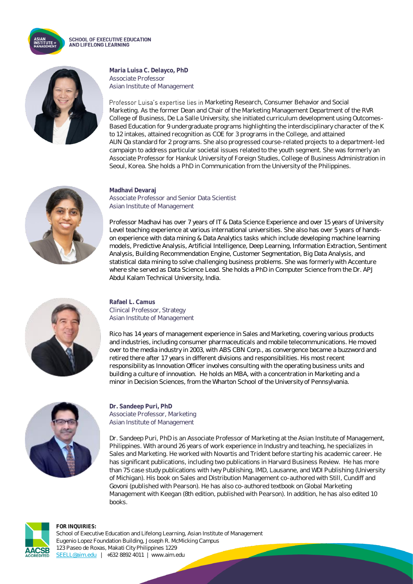

**SCHOOL OF EXECUTIVE EDUCATION** AND LIFELONG LEARNING



**Maria Luisa C. Delayco, PhD** Associate Professor Asian Institute of Management

Professor Luisa's expertise lies in Marketing Research, Consumer Behavior and Social Marketing. As the former Dean and Chair of the Marketing Management Department of the RVR College of Business, De La Salle University, she initiated curriculum development using Outcomes-Based Education for 9 undergraduate programs highlighting the interdisciplinary character of the K to 12 intakes, attained recognition as COE for 3 programs in the College, and attained AUN Qa standard for 2 programs. She also progressed course-related projects to a department-led campaign to address particular societal issues related to the youth segment. She was formerly an Associate Professor for Hankuk University of Foreign Studies, College of Business Administration in Seoul, Korea. She holds a PhD in Communication from the University of the Philippines.



#### **Madhavi Devaraj** Associate Professor and Senior Data Scientist Asian Institute of Management

Professor Madhavi has over 7 years of IT & Data Science Experience and over 15 years of University Level teaching experience at various international universities. She also has over 5 years of handson experience with data mining & Data Analytics tasks which include developing machine learning models, Predictive Analysis, Artificial Intelligence, Deep Learning, Information Extraction, Sentiment Analysis, Building Recommendation Engine, Customer Segmentation, Big Data Analysis, and statistical data mining to solve challenging business problems. She was formerly with Accenture where she served as Data Science Lead. She holds a PhD in Computer Science from the Dr. APJ Abdul Kalam Technical University, India.



**Rafael L. Camus** Clinical Professor, Strategy Asian Institute of Management

Rico has 14 years of management experience in Sales and Marketing, covering various products and industries, including consumer pharmaceuticals and mobile telecommunications. He moved over to the media industry in 2003, with ABS CBN Corp., as convergence became a buzzword and retired there after 17 years in different divisions and responsibilities. His most recent responsibility as Innovation Officer involves consulting with the operating business units and building a culture of innovation. He holds an MBA, with a concentration in Marketing and a minor in Decision Sciences, from the Wharton School of the University of Pennsylvania.



**Dr. Sandeep Puri, PhD** Associate Professor, Marketing Asian Institute of Management

Dr. Sandeep Puri, PhD is an Associate Professor of Marketing at the Asian Institute of Management, Philippines. With around 26 years of work experience in Industry and teaching, he specializes in Sales and Marketing. He worked with Novartis and Trident before starting his academic career. He has significant publications, including two publications in Harvard Business Review. He has more than 75 case study publications with Ivey Publishing, IMD, Lausanne, and WDI Publishing (University of Michigan). His book on Sales and Distribution Management co-authored with Still, Cundiff and Govoni (published with Pearson). He has also co-authored textbook on Global Marketing Management with Keegan (8th edition, published with Pearson). In addition, he has also edited 10 books.

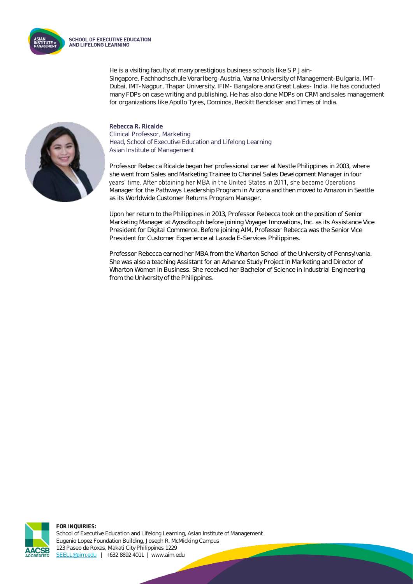

He is a visiting faculty at many prestigious business schools like S P Jain-Singapore, Fachhochschule Vorarlberg-Austria, Varna University of Management-Bulgaria, IMT-Dubai, IMT-Nagpur, Thapar University, IFIM- Bangalore and Great Lakes- India. He has conducted many FDPs on case writing and publishing. He has also done MDPs on CRM and sales management for organizations like Apollo Tyres, Dominos, Reckitt Benckiser and Times of India.



**Rebecca R. Ricalde** Clinical Professor, Marketing Head, School of Executive Education and Lifelong Learning Asian Institute of Management

Professor Rebecca Ricalde began her professional career at Nestle Philippines in 2003, where she went from Sales and Marketing Trainee to Channel Sales Development Manager in four years' time. After obtaining her MBA in the United States in 2011, she became Operations Manager for the Pathways Leadership Program in Arizona and then moved to Amazon in Seattle as its Worldwide Customer Returns Program Manager.

Upon her return to the Philippines in 2013, Professor Rebecca took on the position of Senior Marketing Manager at Ayosdito.ph before joining Voyager Innovations, Inc. as its Assistance Vice President for Digital Commerce. Before joining AIM, Professor Rebecca was the Senior Vice President for Customer Experience at Lazada E-Services Philippines.

Professor Rebecca earned her MBA from the Wharton School of the University of Pennsylvania. She was also a teaching Assistant for an Advance Study Project in Marketing and Director of Wharton Women in Business. She received her Bachelor of Science in Industrial Engineering from the University of the Philippines.